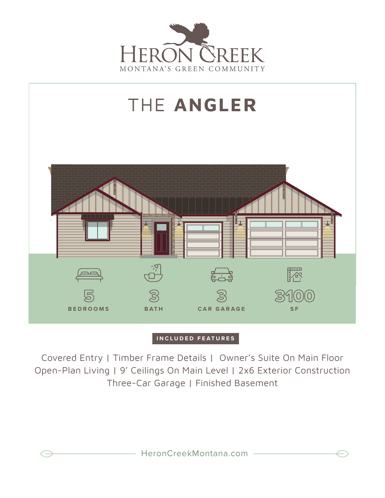



## **INCLUDED FEATURES**

Covered Entry | Timber Frame Details | Owner's Suite On Main Floor Open-Plan Living | 9' Ceilings On Main Level | 2x6 Exterior Construction Three-Car Garage | Finished Basement